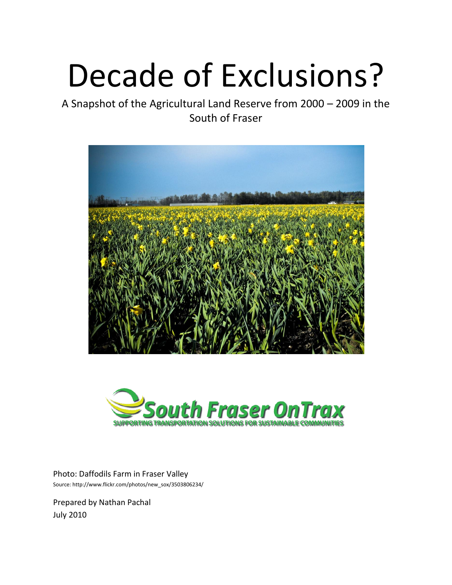# Decade of Exclusions?

A Snapshot of the Agricultural Land Reserve from 2000 – 2009 in the South of Fraser





Photo: Daffodils Farm in Fraser Valley Source[: http://www.flickr.com/photos/new\\_sox/3503806234/](http://www.flickr.com/photos/new_sox/3503806234/)

Prepared by Nathan Pachal July 2010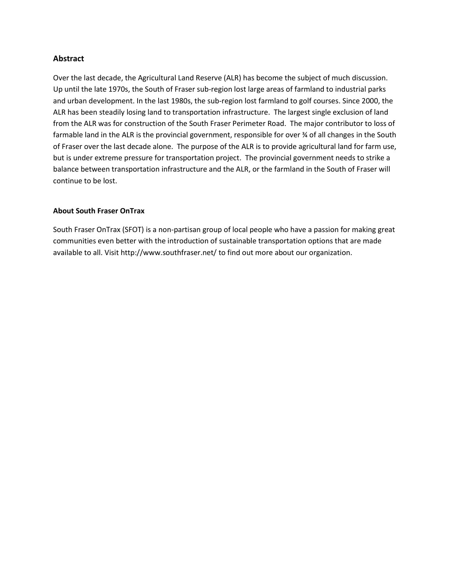## **Abstract**

Over the last decade, the Agricultural Land Reserve (ALR) has become the subject of much discussion. Up until the late 1970s, the South of Fraser sub-region lost large areas of farmland to industrial parks and urban development. In the last 1980s, the sub-region lost farmland to golf courses. Since 2000, the ALR has been steadily losing land to transportation infrastructure. The largest single exclusion of land from the ALR was for construction of the South Fraser Perimeter Road. The major contributor to loss of farmable land in the ALR is the provincial government, responsible for over ¾ of all changes in the South of Fraser over the last decade alone. The purpose of the ALR is to provide agricultural land for farm use, but is under extreme pressure for transportation project. The provincial government needs to strike a balance between transportation infrastructure and the ALR, or the farmland in the South of Fraser will continue to be lost.

#### **About South Fraser OnTrax**

South Fraser OnTrax (SFOT) is a non-partisan group of local people who have a passion for making great communities even better with the introduction of sustainable transportation options that are made available to all. Visi[t http://www.southfraser.net/](http://www.southfraser.net/) to find out more about our organization.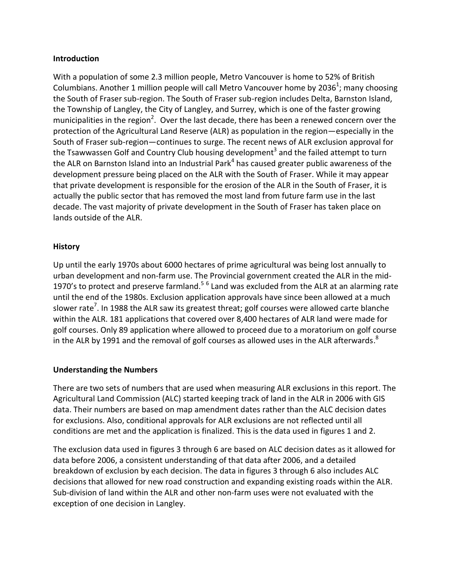## **Introduction**

With a population of some 2.3 million people, Metro Vancouver is home to 52% of British Columbians. Another 1 million people will call Metro Vancouver home by 2036<sup>1</sup>; many choosing the South of Fraser sub-region. The South of Fraser sub-region includes Delta, Barnston Island, the Township of Langley, the City of Langley, and Surrey, which is one of the faster growing municipalities in the region<sup>2</sup>. Over the last decade, there has been a renewed concern over the protection of the Agricultural Land Reserve (ALR) as population in the region—especially in the South of Fraser sub-region—continues to surge. The recent news of ALR exclusion approval for the Tsawwassen Golf and Country Club housing development<sup>3</sup> and the failed attempt to turn the ALR on Barnston Island into an Industrial Park<sup>4</sup> has caused greater public awareness of the development pressure being placed on the ALR with the South of Fraser. While it may appear that private development is responsible for the erosion of the ALR in the South of Fraser, it is actually the public sector that has removed the most land from future farm use in the last decade. The vast majority of private development in the South of Fraser has taken place on lands outside of the ALR.

## **History**

Up until the early 1970s about 6000 hectares of prime agricultural was being lost annually to urban development and non-farm use. The Provincial government created the ALR in the mid-1970's to protect and preserve farmland.<sup>56</sup> Land was excluded from the ALR at an alarming rate until the end of the 1980s. Exclusion application approvals have since been allowed at a much slower rate<sup>7</sup>. In 1988 the ALR saw its greatest threat; golf courses were allowed carte blanche within the ALR. 181 applications that covered over 8,400 hectares of ALR land were made for golf courses. Only 89 application where allowed to proceed due to a moratorium on golf course in the ALR by 1991 and the removal of golf courses as allowed uses in the ALR afterwards. ${}^{8}$ 

# **Understanding the Numbers**

There are two sets of numbers that are used when measuring ALR exclusions in this report. The Agricultural Land Commission (ALC) started keeping track of land in the ALR in 2006 with GIS data. Their numbers are based on map amendment dates rather than the ALC decision dates for exclusions. Also, conditional approvals for ALR exclusions are not reflected until all conditions are met and the application is finalized. This is the data used in figures 1 and 2.

The exclusion data used in figures 3 through 6 are based on ALC decision dates as it allowed for data before 2006, a consistent understanding of that data after 2006, and a detailed breakdown of exclusion by each decision. The data in figures 3 through 6 also includes ALC decisions that allowed for new road construction and expanding existing roads within the ALR. Sub-division of land within the ALR and other non-farm uses were not evaluated with the exception of one decision in Langley.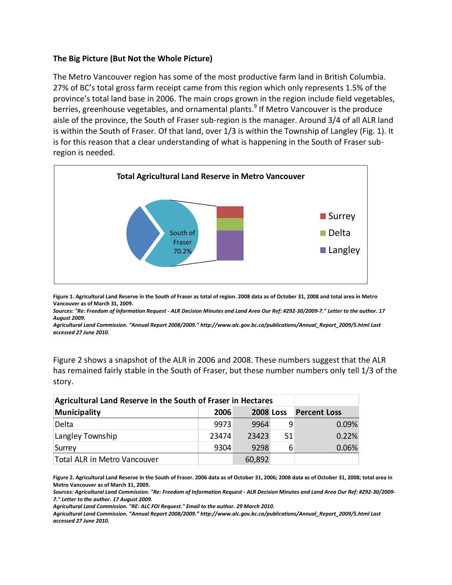## **The Big Picture (But Not the Whole Picture)**

The Metro Vancouver region has some of the most productive farm land in British Columbia. 27% of BC's total gross farm receipt came from this region which only represents 1.5% of the province's total land base in 2006. The main crops grown in the region include field vegetables, berries, greenhouse vegetables, and ornamental plants.<sup>9</sup> If Metro Vancouver is the produce aisle of the province, the South of Fraser sub-region is the manager. Around 3/4 of all ALR land is within the South of Fraser. Of that land, over 1/3 is within the Township of Langley (Fig. 1). It is for this reason that a clear understanding of what is happening in the South of Fraser subregion is needed.



**Figure 1. Agricultural Land Reserve in the South of Fraser as total of region. 2008 data as of October 31, 2008 and total area in Metro Vancouver as of March 31, 2009.** 

*Sources: "Re: Freedom of Information Request - ALR Decision Minutes and Land Area Our Ref: #292-30/2009-7." Letter to the author. 17 August 2009.*

*Agricultural Land Commission. "Annual Report 2008/2009." [http://www.alc.gov.bc.ca/publications/Annual\\_Report\\_2009/5.html](http://www.alc.gov.bc.ca/publications/Annual_Report_2009/5.html) Last accessed 27 June 2010.*

Figure 2 shows a snapshot of the ALR in 2006 and 2008. These numbers suggest that the ALR has remained fairly stable in the South of Fraser, but these number numbers only tell 1/3 of the story.

| Agricultural Land Reserve in the South of Fraser in Hectares |       |        |                  |                     |
|--------------------------------------------------------------|-------|--------|------------------|---------------------|
| Municipality                                                 | 2006  |        | <b>2008 Loss</b> | <b>Percent Loss</b> |
| Delta                                                        | 9973  | 9964   |                  | 0.09%               |
| Langley Township                                             | 23474 | 23423  | 51               | 0.22%               |
| Surrey                                                       | 9304  | 9298   | 6                | 0.06%               |
| Total ALR in Metro Vancouver                                 |       | 60,892 |                  |                     |

**Figure 2. Agricultural Land Reserve in the South of Fraser. 2006 data as of October 31, 2006; 2008 data as of October 31, 2008; total area in Metro Vancouver as of March 31, 2009.** 

*Sources: Agricultural Land Commission. "Re: Freedom of Information Request - ALR Decision Minutes and Land Area Our Ref: #292-30/2009- 7." Letter to the author. 17 August 2009.* 

*Agricultural Land Commission. "RE: ALC FOI Request." Email to the author. 29 March 2010.* 

*Agricultural Land Commission. "Annual Report 2008/2009." [http://www.alc.gov.bc.ca/publications/Annual\\_Report\\_2009/5.html](http://www.alc.gov.bc.ca/publications/Annual_Report_2009/5.html) Last accessed 27 June 2010.*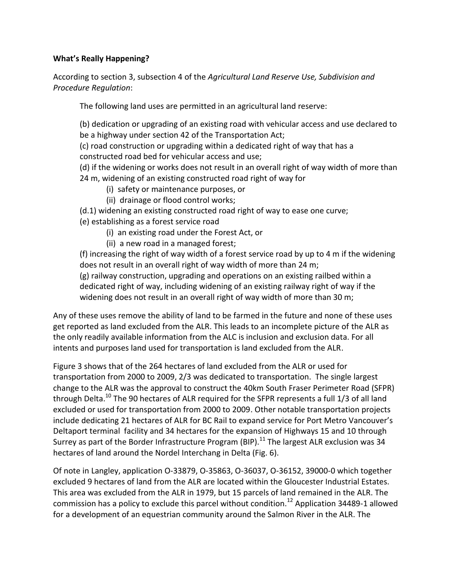# **What's Really Happening?**

According to section 3, subsection 4 of the *Agricultural Land Reserve Use, Subdivision and Procedure Regulation*:

The following land uses are permitted in an agricultural land reserve:

(b) dedication or upgrading of an existing road with vehicular access and use declared to be a highway under section 42 of the Transportation Act;

(c) road construction or upgrading within a dedicated right of way that has a

constructed road bed for vehicular access and use;

(d) if the widening or works does not result in an overall right of way width of more than 24 m, widening of an existing constructed road right of way for

- (i) safety or maintenance purposes, or
- (ii) drainage or flood control works;

(d.1) widening an existing constructed road right of way to ease one curve;

(e) establishing as a forest service road

- (i) an existing road under the Forest Act, or
- (ii) a new road in a managed forest;

(f) increasing the right of way width of a forest service road by up to 4 m if the widening does not result in an overall right of way width of more than 24 m;

(g) railway construction, upgrading and operations on an existing railbed within a dedicated right of way, including widening of an existing railway right of way if the widening does not result in an overall right of way width of more than 30 m;

Any of these uses remove the ability of land to be farmed in the future and none of these uses get reported as land excluded from the ALR. This leads to an incomplete picture of the ALR as the only readily available information from the ALC is inclusion and exclusion data. For all intents and purposes land used for transportation is land excluded from the ALR.

Figure 3 shows that of the 264 hectares of land excluded from the ALR or used for transportation from 2000 to 2009, 2/3 was dedicated to transportation. The single largest change to the ALR was the approval to construct the 40km South Fraser Perimeter Road (SFPR) through Delta.<sup>10</sup> The 90 hectares of ALR required for the SFPR represents a full 1/3 of all land excluded or used for transportation from 2000 to 2009. Other notable transportation projects include dedicating 21 hectares of ALR for BC Rail to expand service for Port Metro Vancouver's Deltaport terminal facility and 34 hectares for the expansion of Highways 15 and 10 through Surrey as part of the Border Infrastructure Program (BIP).<sup>11</sup> The largest ALR exclusion was 34 hectares of land around the Nordel Interchang in Delta (Fig. 6).

Of note in Langley, application O-33879, O-35863, O-36037, O-36152, 39000-0 which together excluded 9 hectares of land from the ALR are located within the Gloucester Industrial Estates. This area was excluded from the ALR in 1979, but 15 parcels of land remained in the ALR. The commission has a policy to exclude this parcel without condition.<sup>12</sup> Application 34489-1 allowed for a development of an equestrian community around the Salmon River in the ALR. The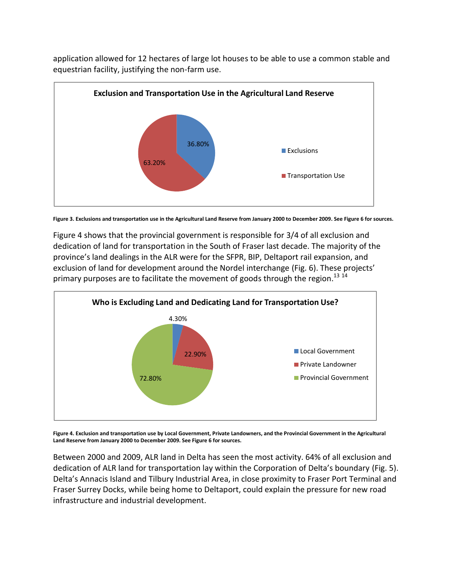application allowed for 12 hectares of large lot houses to be able to use a common stable and equestrian facility, justifying the non-farm use.





Figure 4 shows that the provincial government is responsible for 3/4 of all exclusion and dedication of land for transportation in the South of Fraser last decade. The majority of the province's land dealings in the ALR were for the SFPR, BIP, Deltaport rail expansion, and exclusion of land for development around the Nordel interchange (Fig. 6). These projects' primary purposes are to facilitate the movement of goods through the region.<sup>13 14</sup>



**Figure 4. Exclusion and transportation use by Local Government, Private Landowners, and the Provincial Government in the Agricultural Land Reserve from January 2000 to December 2009. See Figure 6 for sources.**

Between 2000 and 2009, ALR land in Delta has seen the most activity. 64% of all exclusion and dedication of ALR land for transportation lay within the Corporation of Delta's boundary (Fig. 5). Delta's Annacis Island and Tilbury Industrial Area, in close proximity to Fraser Port Terminal and Fraser Surrey Docks, while being home to Deltaport, could explain the pressure for new road infrastructure and industrial development.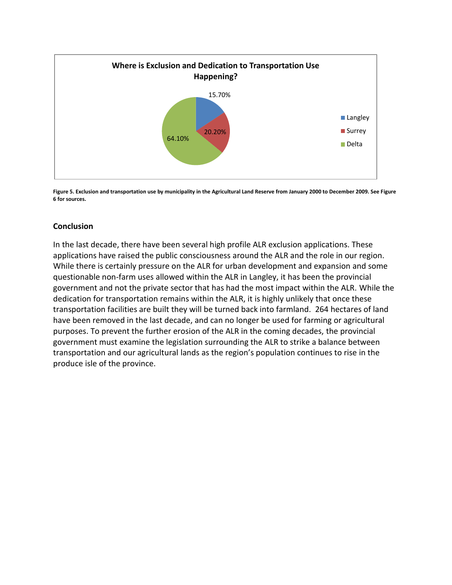

**Figure 5. Exclusion and transportation use by municipality in the Agricultural Land Reserve from January 2000 to December 2009. See Figure 6 for sources.**

## **Conclusion**

In the last decade, there have been several high profile ALR exclusion applications. These applications have raised the public consciousness around the ALR and the role in our region. While there is certainly pressure on the ALR for urban development and expansion and some questionable non-farm uses allowed within the ALR in Langley, it has been the provincial government and not the private sector that has had the most impact within the ALR. While the dedication for transportation remains within the ALR, it is highly unlikely that once these transportation facilities are built they will be turned back into farmland. 264 hectares of land have been removed in the last decade, and can no longer be used for farming or agricultural purposes. To prevent the further erosion of the ALR in the coming decades, the provincial government must examine the legislation surrounding the ALR to strike a balance between transportation and our agricultural lands as the region's population continues to rise in the produce isle of the province.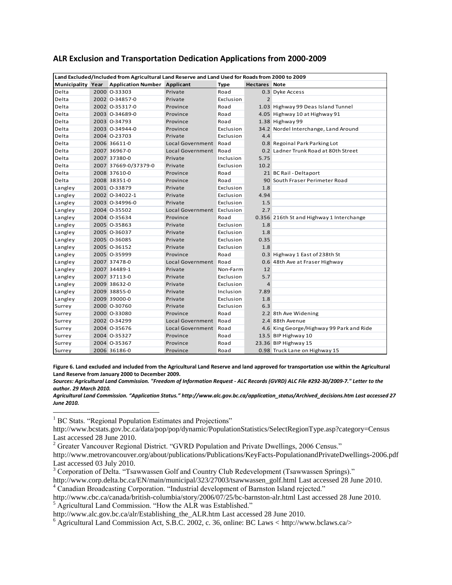| Land Excluded/Included from Agricultural Land Reserve and Land Used for Roads from 2000 to 2009 |  |                                     |                            |             |                      |                                          |  |  |  |
|-------------------------------------------------------------------------------------------------|--|-------------------------------------|----------------------------|-------------|----------------------|------------------------------------------|--|--|--|
| <b>Municipality Year</b>                                                                        |  | <b>Application Number Applicant</b> |                            | <b>Type</b> | <b>Hectares Note</b> |                                          |  |  |  |
| Delta                                                                                           |  | 2000 0-33303                        | Private                    | Road        |                      | 0.3 Dyke Access                          |  |  |  |
| Delta                                                                                           |  | 2002 0-34857-0                      | Private                    | Exclusion   | $\overline{2}$       |                                          |  |  |  |
| Delta                                                                                           |  | 2002 0-35317-0                      | Province                   | Road        |                      | 1.03 Highway 99 Deas Island Tunnel       |  |  |  |
| Delta                                                                                           |  | 2003 0-34689-0                      | Province                   | Road        |                      | 4.05 Highway 10 at Highway 91            |  |  |  |
| Delta                                                                                           |  | 2003 0-34793                        | Province                   | Road        |                      | 1.38 Highway 99                          |  |  |  |
| Delta                                                                                           |  | 2003 O-34944-0                      | Province                   | Exclusion   |                      | 34.2 Nordel Interchange, Land Around     |  |  |  |
| Delta                                                                                           |  | 2004 0-23703                        | Private                    | Exclusion   | 4.4                  |                                          |  |  |  |
| Delta                                                                                           |  | 2006 36611-0                        | <b>Local Government</b>    | Road        |                      | 0.8 Regoinal Park Parking Lot            |  |  |  |
| Delta                                                                                           |  | 2007 36967-0                        | <b>Local Government</b>    | Road        |                      | 0.2 Ladner Trunk Road at 80th Street     |  |  |  |
| Delta                                                                                           |  | 2007 37380-0                        | Private                    | Inclusion   | 5.75                 |                                          |  |  |  |
| Delta                                                                                           |  | 2007 37669-0/37379-0                | Private                    | Exclusion   | 10.2                 |                                          |  |  |  |
| Delta                                                                                           |  | 2008 37610-0                        | Province                   | Road        |                      | 21 BC Rail - Deltaport                   |  |  |  |
| Delta                                                                                           |  | 2008 38351-0                        | Province                   | Road        |                      | 90 South Fraser Perimeter Road           |  |  |  |
| Langley                                                                                         |  | 2001 0-33879                        | Private                    | Exclusion   | 1.8                  |                                          |  |  |  |
| Langley                                                                                         |  | 2002 0-34022-1                      | Private                    | Exclusion   | 4.94                 |                                          |  |  |  |
| Langley                                                                                         |  | 2003 0-34996-0                      | Private                    | Exclusion   | 1.5                  |                                          |  |  |  |
| Langley                                                                                         |  | 2004 0-35502                        | Local Government Exclusion |             | 2.7                  |                                          |  |  |  |
| Langley                                                                                         |  | 2004 0-35634                        | Province                   | Road        |                      | 0.356 216th St and Highway 1 Interchange |  |  |  |
| Langley                                                                                         |  | 2005 0-35863                        | Private                    | Exclusion   | 1.8                  |                                          |  |  |  |
| Langley                                                                                         |  | 2005 0-36037                        | Private                    | Exclusion   | 1.8                  |                                          |  |  |  |
| Langley                                                                                         |  | 2005 0-36085                        | Private                    | Exclusion   | 0.35                 |                                          |  |  |  |
| Langley                                                                                         |  | 2005 0-36152                        | Private                    | Exclusion   | 1.8                  |                                          |  |  |  |
| Langley                                                                                         |  | 2005 0-35999                        | Province                   | Road        |                      | 0.3 Highway 1 East of 238th St           |  |  |  |
| Langley                                                                                         |  | 2007 37478-0                        | <b>Local Government</b>    | Road        |                      | 0.6 48th Ave at Fraser Highway           |  |  |  |
| Langley                                                                                         |  | 2007 34489-1                        | Private                    | Non-Farm    | 12                   |                                          |  |  |  |
| Langley                                                                                         |  | 2007 37113-0                        | Private                    | Exclusion   | 5.7                  |                                          |  |  |  |
| Langley                                                                                         |  | 2009 38632-0                        | Private                    | Exclusion   | 4                    |                                          |  |  |  |
| Langley                                                                                         |  | 2009 38855-0                        | Private                    | Inclusion   | 7.89                 |                                          |  |  |  |
| Langley                                                                                         |  | 2009 39000-0                        | Private                    | Exclusion   | 1.8                  |                                          |  |  |  |
| Surrey                                                                                          |  | 2000 0-30760                        | Private                    | Exclusion   | 6.3                  |                                          |  |  |  |
| Surrey                                                                                          |  | 2000 0-33080                        | Province                   | Road        |                      | 2.2 8th Ave Widening                     |  |  |  |
| Surrey                                                                                          |  | 2002 0-34299                        | <b>Local Government</b>    | Road        |                      | 2.4 88th Avenue                          |  |  |  |
| Surrey                                                                                          |  | 2004 0-35676                        | Local Government Road      |             |                      | 4.6 King George/Highway 99 Park and Ride |  |  |  |
| Surrey                                                                                          |  | 2004 0-35327                        | Province                   | Road        |                      | 13.5 BIP Highway 10                      |  |  |  |
| Surrey                                                                                          |  | 2004 0-35367                        | Province                   | Road        |                      | 23.36 BIP Highway 15                     |  |  |  |
| Surrey                                                                                          |  | 2006 36186-0                        | Province                   | Road        |                      | 0.98 Truck Lane on Highway 15            |  |  |  |

## **ALR Exclusion and Transportation Dedication Applications from 2000-2009**

**Figure 6. Land excluded and included from the Agricultural Land Reserve and land approved for transportation use within the Agricultural Land Reserve from January 2000 to December 2009.** 

*Sources: Agricultural Land Commission. "Freedom of Information Request - ALC Records (GVRD) ALC File #292-30/2009-7." Letter to the author. 29 March 2010.*

*Agricultural Land Commission. "Application Status." [http://www.alc.gov.bc.ca/application\\_status/Archived\\_decisions.htm](http://www.alc.gov.bc.ca/application_status/Archived_decisions.htm) Last accessed 27 June 2010.*

<sup>1</sup> BC Stats. "Regional Population Estimates and Projections"

 $\overline{\phantom{a}}$ 

<sup>3</sup> Corporation of Delta. "Tsawwassen Golf and Country Club Redevelopment (Tsawwassen Springs)."

[http://www.corp.delta.bc.ca/EN/main/municipal/323/27003/tsawwassen\\_golf.html](http://www.corp.delta.bc.ca/EN/main/municipal/323/27003/tsawwassen_golf.html) Last accessed 28 June 2010. <sup>4</sup> Canadian Broadcasting Corporation. "Industrial development of Barnston Island rejected."

[http://www.bcstats.gov.bc.ca/data/pop/pop/dynamic/PopulationStatistics/SelectRegionType.asp?category=Census](http://www.bcstats.gov.bc.ca/data/pop/pop/dynamic/PopulationStatistics/SelectRegionType.asp?category=Census%20) Last accessed 28 June 2010.

<sup>2</sup> Greater Vancouver Regional District. "GVRD Population and Private Dwellings, 2006 Census."

<http://www.metrovancouver.org/about/publications/Publications/KeyFacts-PopulationandPrivateDwellings-2006.pdf> Last accessed 03 July 2010.

<http://www.cbc.ca/canada/british-columbia/story/2006/07/25/bc-barnston-alr.html> Last accessed 28 June 2010. <sup>5</sup> Agricultural Land Commission. "How the ALR was Established."

[http://www.alc.gov.bc.ca/alr/Establishing\\_the\\_ALR.htm](http://www.alc.gov.bc.ca/alr/Establishing_the_ALR.htm) Last accessed 28 June 2010.

 $6$  Agricultural Land Commission Act, S.B.C. 2002, c. 36, online: BC Laws  $\lt$  http://www.bclaws.ca/ $>$